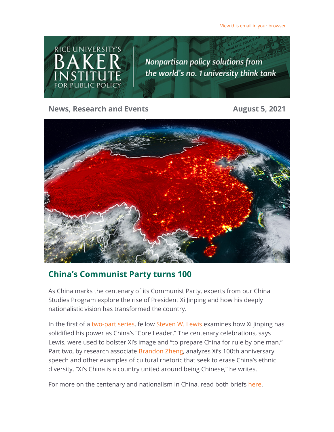View this email in your browser



**News, Research and Events August 5, 2021** 



# **China's Communist Party turns 100**

As China marks the centenary of its Communist Party, experts from our China Studies Program explore the rise of President Xi Jinping and how his deeply nationalistic vision has transformed the country.

In the first of a [two-part series](https://riceconnect.rice.edu/page.redir?target=https%3a%2f%2fwww.bakerinstitute.org%2fresearch%2f%3ftag%3dCCPcentenary&srcid=242194&srctid=1&erid=37740dbd-3a1a-4a13-b3bc-74714d0acda2&trid=37740dbd-3a1a-4a13-b3bc-74714d0acda2), fellow [Steven W. Lewis](https://riceconnect.rice.edu/page.redir?target=https%3a%2f%2fwww.bakerinstitute.org%2fexperts%2fsteven-w-lewis%2f&srcid=242194&srctid=1&erid=37740dbd-3a1a-4a13-b3bc-74714d0acda2&trid=37740dbd-3a1a-4a13-b3bc-74714d0acda2) examines how Xi Jinping has solidified his power as China's "Core Leader." The centenary celebrations, says Lewis, were used to bolster Xi's image and "to prepare China for rule by one man." Part two, by research associate [Brandon Zheng,](https://riceconnect.rice.edu/page.redir?target=https%3a%2f%2fwww.bakerinstitute.org%2fexperts%2fbrandon-zheng%2f&srcid=242194&srctid=1&erid=37740dbd-3a1a-4a13-b3bc-74714d0acda2&trid=37740dbd-3a1a-4a13-b3bc-74714d0acda2) analyzes Xi's 100th anniversary speech and other examples of cultural rhetoric that seek to erase China's ethnic diversity. "Xi's China is a country united around being Chinese," he writes.

For more on the centenary and nationalism in China, read both briefs [here](https://riceconnect.rice.edu/page.redir?target=https%3a%2f%2fwww.bakerinstitute.org%2fresearch%2f%3ftag%3dCCPcentenary&srcid=242194&srctid=1&erid=37740dbd-3a1a-4a13-b3bc-74714d0acda2&trid=37740dbd-3a1a-4a13-b3bc-74714d0acda2).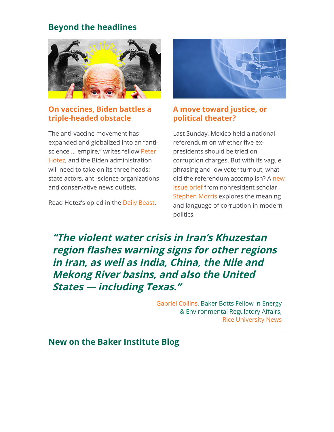### **Beyond the headlines**



#### **[On vaccines, Biden battles a](https://riceconnect.rice.edu/page.redir?target=https%3a%2f%2fwww.thedailybeast.com%2fbiden-battles-a-triple-headed-monster-on-vaccines&srcid=242194&srctid=1&erid=37740dbd-3a1a-4a13-b3bc-74714d0acda2&trid=37740dbd-3a1a-4a13-b3bc-74714d0acda2) triple-headed obstacle**

The anti-vaccine movement has expanded and globalized into an "anti[science ... empire," writes fellow Peter](https://riceconnect.rice.edu/page.redir?target=https%3a%2f%2fwww.bakerinstitute.org%2fexperts%2fpeter-j-hotez%2f&srcid=242194&srctid=1&erid=37740dbd-3a1a-4a13-b3bc-74714d0acda2&trid=37740dbd-3a1a-4a13-b3bc-74714d0acda2) Hotez, and the Biden administration will need to take on its three heads: state actors, anti-science organizations and conservative news outlets.

Read Hotez's op-ed in the [Daily Beast](https://riceconnect.rice.edu/page.redir?target=https%3a%2f%2fwww.thedailybeast.com%2fbiden-battles-a-triple-headed-monster-on-vaccines&srcid=242194&srctid=1&erid=37740dbd-3a1a-4a13-b3bc-74714d0acda2&trid=37740dbd-3a1a-4a13-b3bc-74714d0acda2).



#### **[A move toward justice, or](https://riceconnect.rice.edu/page.redir?target=https%3a%2f%2fwww.bakerinstitute.org%2ffiles%2f17550%2f&srcid=242194&srctid=1&erid=37740dbd-3a1a-4a13-b3bc-74714d0acda2&trid=37740dbd-3a1a-4a13-b3bc-74714d0acda2) political theater?**

Last Sunday, Mexico held a national referendum on whether five expresidents should be tried on corruption charges. But with its vague phrasing and low voter turnout, what [did the referendum accomplish? A new](https://riceconnect.rice.edu/page.redir?target=https%3a%2f%2fwww.bakerinstitute.org%2ffiles%2f17550%2f&srcid=242194&srctid=1&erid=37740dbd-3a1a-4a13-b3bc-74714d0acda2&trid=37740dbd-3a1a-4a13-b3bc-74714d0acda2) issue brief from nonresident scholar [Stephen Morris](https://riceconnect.rice.edu/page.redir?target=https%3a%2f%2fwww.bakerinstitute.org%2fexperts%2fstephen-morris%2f&srcid=242194&srctid=1&erid=37740dbd-3a1a-4a13-b3bc-74714d0acda2&trid=37740dbd-3a1a-4a13-b3bc-74714d0acda2) explores the meaning and language of corruption in modern politics.

**"The violent water crisis in Iran's Khuzestan region flashes warning signs for other regions in Iran, as well as India, China, the Nile and Mekong River basins, and also the United States — including Texas."**

> [Gabriel Collins,](https://riceconnect.rice.edu/page.redir?target=https%3a%2f%2fwww.bakerinstitute.org%2fexperts%2fgabe-collins%2f&srcid=242194&srctid=1&erid=37740dbd-3a1a-4a13-b3bc-74714d0acda2&trid=37740dbd-3a1a-4a13-b3bc-74714d0acda2) Baker Botts Fellow in Energy & Environmental Regulatory Affairs, [Rice University News](https://riceconnect.rice.edu/page.redir?target=http%3a%2f%2fnews.rice.edu%2f2021%2f08%2f03%2firans-water-crisis-is-a-warning-for-the-us-2%2f&srcid=242194&srctid=1&erid=37740dbd-3a1a-4a13-b3bc-74714d0acda2&trid=37740dbd-3a1a-4a13-b3bc-74714d0acda2)

### **New on the Baker Institute Blog**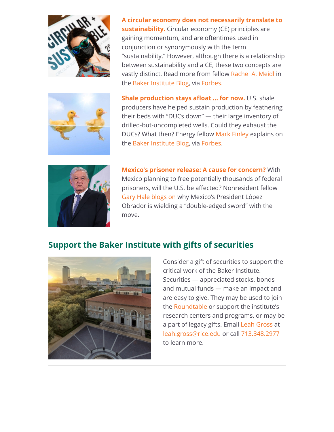

**[A circular economy does not necessarily translate to](https://riceconnect.rice.edu/page.redir?target=https%3a%2f%2fbakerinstituteblog.blogs.rice.edu%2f2021%2f08%2f03%2fa-circular-economy-does-not-necessarily-translate-to-sustainability%2f&srcid=242194&srctid=1&erid=37740dbd-3a1a-4a13-b3bc-74714d0acda2&trid=37740dbd-3a1a-4a13-b3bc-74714d0acda2) sustainability.** Circular economy (CE) principles are gaining momentum, and are oftentimes used in conjunction or synonymously with the term "sustainability." However, although there is a relationship between sustainability and a CE, these two concepts are vastly distinct. Read more from fellow [Rachel A. Meidl](https://riceconnect.rice.edu/page.redir?target=https%3a%2f%2fwww.bakerinstitute.org%2fexperts%2frachel-a-meidl%2f&srcid=242194&srctid=1&erid=37740dbd-3a1a-4a13-b3bc-74714d0acda2&trid=37740dbd-3a1a-4a13-b3bc-74714d0acda2) in the [Baker Institute Blog](https://riceconnect.rice.edu/page.redir?target=https%3a%2f%2fbakerinstituteblog.blogs.rice.edu%2f2021%2f08%2f03%2fa-circular-economy-does-not-necessarily-translate-to-sustainability%2f&srcid=242194&srctid=1&erid=37740dbd-3a1a-4a13-b3bc-74714d0acda2&trid=37740dbd-3a1a-4a13-b3bc-74714d0acda2), via [Forbes.](https://riceconnect.rice.edu/page.redir?target=https%3a%2f%2fwww.forbes.com%2fsites%2fthebakersinstitute%2f2021%2f08%2f03%2fa-circular-economy-does-not-necessarily-translate-to-sustainability%2f%3fsh%3d7c4f88ab61a7&srcid=242194&srctid=1&erid=37740dbd-3a1a-4a13-b3bc-74714d0acda2&trid=37740dbd-3a1a-4a13-b3bc-74714d0acda2)



**[Shale production stays afloat ... for now.](https://riceconnect.rice.edu/page.redir?target=https%3a%2f%2fbakerinstituteblog.blogs.rice.edu%2f2021%2f08%2f02%2fducs-down-has-made-shales-post-covid-bed-softer-so-far%2f&srcid=242194&srctid=1&erid=37740dbd-3a1a-4a13-b3bc-74714d0acda2&trid=37740dbd-3a1a-4a13-b3bc-74714d0acda2)** U.S. shale producers have helped sustain production by feathering their beds with "DUCs down" — their large inventory of drilled-but-uncompleted wells. Could they exhaust the DUCs? What then? Energy fellow [Mark Finley](https://riceconnect.rice.edu/page.redir?target=https%3a%2f%2fwww.bakerinstitute.org%2fexperts%2fmark-finley%2f&srcid=242194&srctid=1&erid=37740dbd-3a1a-4a13-b3bc-74714d0acda2&trid=37740dbd-3a1a-4a13-b3bc-74714d0acda2) explains on the [Baker Institute Blog](https://riceconnect.rice.edu/page.redir?target=https%3a%2f%2fbakerinstituteblog.blogs.rice.edu%2f2021%2f08%2f02%2fducs-down-has-made-shales-post-covid-bed-softer-so-far%2f&srcid=242194&srctid=1&erid=37740dbd-3a1a-4a13-b3bc-74714d0acda2&trid=37740dbd-3a1a-4a13-b3bc-74714d0acda2), via [Forbes.](https://riceconnect.rice.edu/page.redir?target=https%3a%2f%2fwww.forbes.com%2fsites%2fthebakersinstitute%2f2021%2f08%2f02%2fducs-down-has-made-shales-post-covid-bed-softerso-far%2f%3fsh%3d1bcc45b359f9&srcid=242194&srctid=1&erid=37740dbd-3a1a-4a13-b3bc-74714d0acda2&trid=37740dbd-3a1a-4a13-b3bc-74714d0acda2)



**[Mexico's prisoner release: A cause for concern?](https://riceconnect.rice.edu/page.redir?target=https%3a%2f%2fbakerinstituteblog.blogs.rice.edu%2f2021%2f07%2f30%2fmexico-plans-a-prisoner-release-should-the-u-s-worry%2f&srcid=242194&srctid=1&erid=37740dbd-3a1a-4a13-b3bc-74714d0acda2&trid=37740dbd-3a1a-4a13-b3bc-74714d0acda2)** With Mexico planning to free potentially thousands of federal prisoners, will the U.S. be affected? Nonresident fellow [Gary Hale](https://riceconnect.rice.edu/page.redir?target=https%3a%2f%2fwww.bakerinstitute.org%2fexperts%2fgary-j-hale%2f&srcid=242194&srctid=1&erid=37740dbd-3a1a-4a13-b3bc-74714d0acda2&trid=37740dbd-3a1a-4a13-b3bc-74714d0acda2) [blogs on](https://riceconnect.rice.edu/page.redir?target=https%3a%2f%2fblog.bakerinstitute.org%2f2021%2f07%2f30%2fmexico-plans-a-prisoner-release-should-the-u-s-worry%2f&srcid=242194&srctid=1&erid=37740dbd-3a1a-4a13-b3bc-74714d0acda2&trid=37740dbd-3a1a-4a13-b3bc-74714d0acda2) why Mexico's President López Obrador is wielding a "double-edged sword" with the move.

### **Support the Baker Institute with gifts of securities**



Consider a gift of securities to support the critical work of the Baker Institute. Securities — appreciated stocks, bonds and mutual funds — make an impact and are easy to give. They may be used to join the [Roundtable](https://riceconnect.rice.edu/page.redir?target=https%3a%2f%2fwww.bakerinstitute.org%2fjoin-the-baker-roundtable%2f&srcid=242194&srctid=1&erid=37740dbd-3a1a-4a13-b3bc-74714d0acda2&trid=37740dbd-3a1a-4a13-b3bc-74714d0acda2) or support the institute's research centers and programs, or may be a part of legacy gifts. Email [Leah Gross](https://riceconnect.rice.edu/page.redir?target=https%3a%2f%2fwww.bakerinstitute.org%2fstaff%2fleah-gross%2f&srcid=242194&srctid=1&erid=37740dbd-3a1a-4a13-b3bc-74714d0acda2&trid=37740dbd-3a1a-4a13-b3bc-74714d0acda2) at [leah.gross@rice.edu](mailto:leah.gross@rice.edu) or call [713.348.2977](tel:713.348.2977) to learn more.